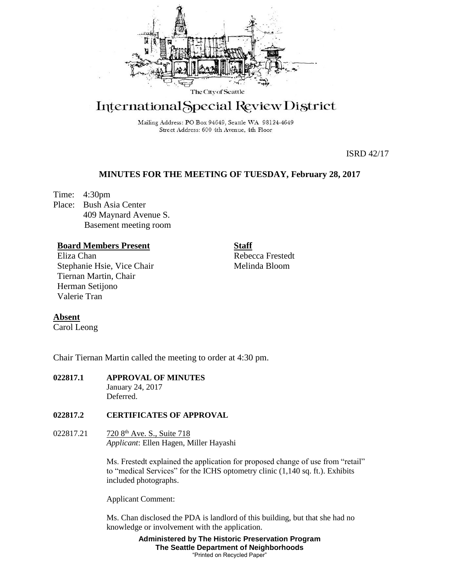

# International Special Review District

Mailing Address: PO Box 94649, Seattle WA 98124-4649 Street Address: 600 4th Avenue, 4th Floor

ISRD 42/17

# **MINUTES FOR THE MEETING OF TUESDAY, February 28, 2017**

Time: 4:30pm Place: Bush Asia Center 409 Maynard Avenue S. Basement meeting room

# **Board Members Present**

Eliza Chan Stephanie Hsie, Vice Chair Tiernan Martin, Chair Herman Setijono Valerie Tran

**Staff** Rebecca Frestedt Melinda Bloom

## **Absent**

Carol Leong

Chair Tiernan Martin called the meeting to order at 4:30 pm.

#### **022817.1 APPROVAL OF MINUTES** January 24, 2017 **Deferred**

## **022817.2 CERTIFICATES OF APPROVAL**

022817.21 720 8<sup>th</sup> Ave. S., Suite 718 *Applicant*: Ellen Hagen, Miller Hayashi

> Ms. Frestedt explained the application for proposed change of use from "retail" to "medical Services" for the ICHS optometry clinic (1,140 sq. ft.). Exhibits included photographs.

Applicant Comment:

Ms. Chan disclosed the PDA is landlord of this building, but that she had no knowledge or involvement with the application.

> **Administered by The Historic Preservation Program The Seattle Department of Neighborhoods** "Printed on Recycled Paper"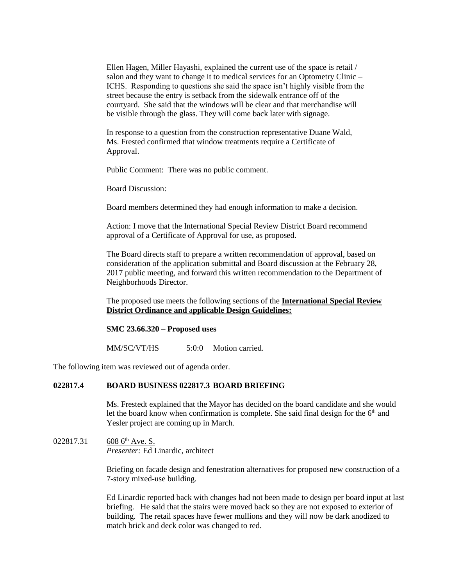Ellen Hagen, Miller Hayashi, explained the current use of the space is retail / salon and they want to change it to medical services for an Optometry Clinic – ICHS. Responding to questions she said the space isn't highly visible from the street because the entry is setback from the sidewalk entrance off of the courtyard. She said that the windows will be clear and that merchandise will be visible through the glass. They will come back later with signage.

In response to a question from the construction representative Duane Wald, Ms. Frested confirmed that window treatments require a Certificate of Approval.

Public Comment: There was no public comment.

Board Discussion:

Board members determined they had enough information to make a decision.

Action: I move that the International Special Review District Board recommend approval of a Certificate of Approval for use, as proposed.

The Board directs staff to prepare a written recommendation of approval, based on consideration of the application submittal and Board discussion at the February 28, 2017 public meeting, and forward this written recommendation to the Department of Neighborhoods Director.

The proposed use meets the following sections of the **International Special Review District Ordinance and** a**pplicable Design Guidelines:**

#### **SMC 23.66.320 – Proposed uses**

MM/SC/VT/HS 5:0:0 Motion carried.

The following item was reviewed out of agenda order.

### **022817.4 BOARD BUSINESS 022817.3 BOARD BRIEFING**

Ms. Frestedt explained that the Mayor has decided on the board candidate and she would let the board know when confirmation is complete. She said final design for the  $6<sup>th</sup>$  and Yesler project are coming up in March.

022817.31 608  $6<sup>th</sup>$  Ave. S. *Presenter:* Ed Linardic, architect

> Briefing on facade design and fenestration alternatives for proposed new construction of a 7-story mixed-use building.

Ed Linardic reported back with changes had not been made to design per board input at last briefing. He said that the stairs were moved back so they are not exposed to exterior of building. The retail spaces have fewer mullions and they will now be dark anodized to match brick and deck color was changed to red.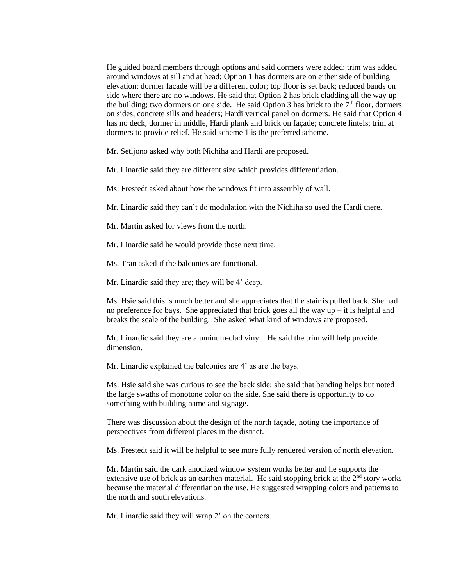He guided board members through options and said dormers were added; trim was added around windows at sill and at head; Option 1 has dormers are on either side of building elevation; dormer façade will be a different color; top floor is set back; reduced bands on side where there are no windows. He said that Option 2 has brick cladding all the way up the building; two dormers on one side. He said Option 3 has brick to the  $7<sup>th</sup>$  floor, dormers on sides, concrete sills and headers; Hardi vertical panel on dormers. He said that Option 4 has no deck; dormer in middle, Hardi plank and brick on façade; concrete lintels; trim at dormers to provide relief. He said scheme 1 is the preferred scheme.

Mr. Setijono asked why both Nichiha and Hardi are proposed.

Mr. Linardic said they are different size which provides differentiation.

Ms. Frestedt asked about how the windows fit into assembly of wall.

Mr. Linardic said they can't do modulation with the Nichiha so used the Hardi there.

Mr. Martin asked for views from the north.

Mr. Linardic said he would provide those next time.

Ms. Tran asked if the balconies are functional.

Mr. Linardic said they are; they will be 4' deep.

Ms. Hsie said this is much better and she appreciates that the stair is pulled back. She had no preference for bays. She appreciated that brick goes all the way  $up - it$  is helpful and breaks the scale of the building. She asked what kind of windows are proposed.

Mr. Linardic said they are aluminum-clad vinyl. He said the trim will help provide dimension.

Mr. Linardic explained the balconies are 4' as are the bays.

Ms. Hsie said she was curious to see the back side; she said that banding helps but noted the large swaths of monotone color on the side. She said there is opportunity to do something with building name and signage.

There was discussion about the design of the north façade, noting the importance of perspectives from different places in the district.

Ms. Frestedt said it will be helpful to see more fully rendered version of north elevation.

Mr. Martin said the dark anodized window system works better and he supports the extensive use of brick as an earthen material. He said stopping brick at the  $2<sup>nd</sup>$  story works because the material differentiation the use. He suggested wrapping colors and patterns to the north and south elevations.

Mr. Linardic said they will wrap 2' on the corners.